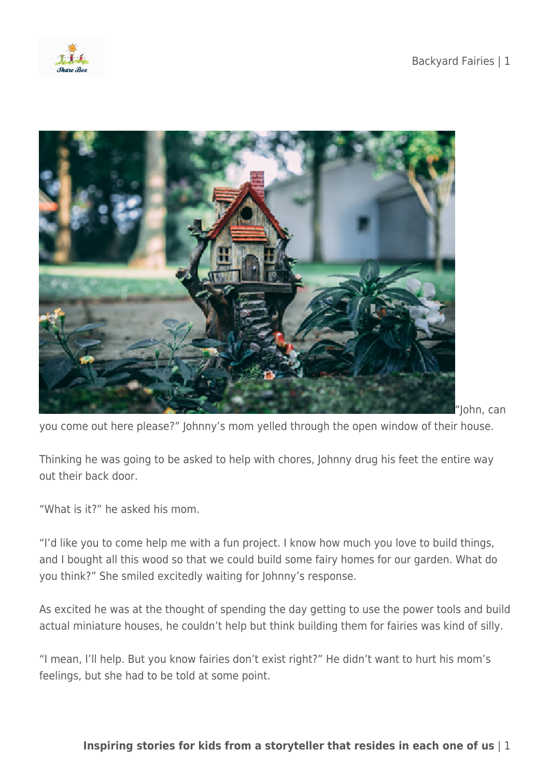



"John, can

you come out here please?" Johnny's mom yelled through the open window of their house.

Thinking he was going to be asked to help with chores, Johnny drug his feet the entire way out their back door.

"What is it?" he asked his mom.

"I'd like you to come help me with a fun project. I know how much you love to build things, and I bought all this wood so that we could build some fairy homes for our garden. What do you think?" She smiled excitedly waiting for Johnny's response.

As excited he was at the thought of spending the day getting to use the power tools and build actual miniature houses, he couldn't help but think building them for fairies was kind of silly.

"I mean, I'll help. But you know fairies don't exist right?" He didn't want to hurt his mom's feelings, but she had to be told at some point.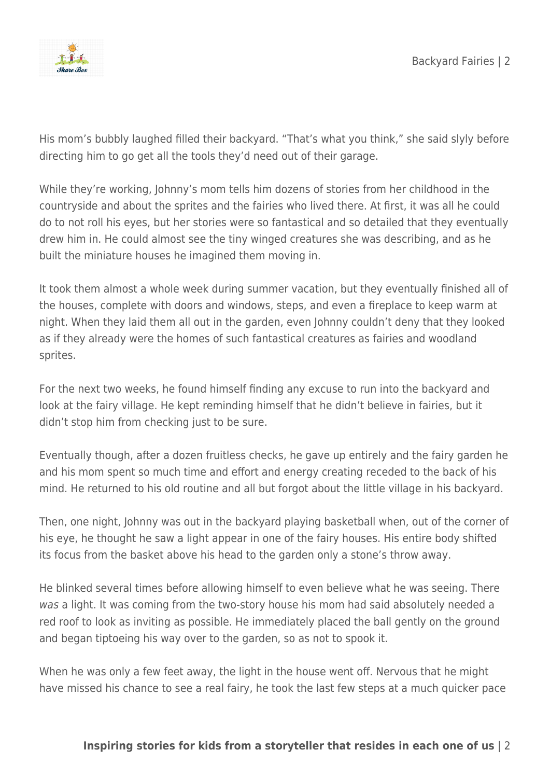

His mom's bubbly laughed filled their backyard. "That's what you think," she said slyly before directing him to go get all the tools they'd need out of their garage.

While they're working, Johnny's mom tells him dozens of stories from her childhood in the countryside and about the sprites and the fairies who lived there. At first, it was all he could do to not roll his eyes, but her stories were so fantastical and so detailed that they eventually drew him in. He could almost see the tiny winged creatures she was describing, and as he built the miniature houses he imagined them moving in.

It took them almost a whole week during summer vacation, but they eventually finished all of the houses, complete with doors and windows, steps, and even a fireplace to keep warm at night. When they laid them all out in the garden, even Johnny couldn't deny that they looked as if they already were the homes of such fantastical creatures as fairies and woodland sprites.

For the next two weeks, he found himself finding any excuse to run into the backyard and look at the fairy village. He kept reminding himself that he didn't believe in fairies, but it didn't stop him from checking just to be sure.

Eventually though, after a dozen fruitless checks, he gave up entirely and the fairy garden he and his mom spent so much time and effort and energy creating receded to the back of his mind. He returned to his old routine and all but forgot about the little village in his backyard.

Then, one night, Johnny was out in the backyard playing basketball when, out of the corner of his eye, he thought he saw a light appear in one of the fairy houses. His entire body shifted its focus from the basket above his head to the garden only a stone's throw away.

He blinked several times before allowing himself to even believe what he was seeing. There was a light. It was coming from the two-story house his mom had said absolutely needed a red roof to look as inviting as possible. He immediately placed the ball gently on the ground and began tiptoeing his way over to the garden, so as not to spook it.

When he was only a few feet away, the light in the house went off. Nervous that he might have missed his chance to see a real fairy, he took the last few steps at a much quicker pace